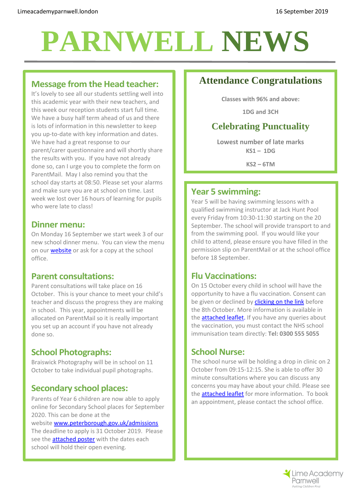# **PARNWELL NEWS**

## **Message from the Head teacher:**

It's lovely to see all our students settling well into this academic year with their new teachers, and this week our reception students start full time. We have a busy half term ahead of us and there is lots of information in this newsletter to keep you up-to-date with key information and dates. We have had a great response to our parent/carer questionnaire and will shortly share the results with you. If you have not already done so, can I urge you to complete the form on ParentMail. May I also remind you that the school day starts at 08:50. Please set your alarms and make sure you are at school on time. Last week we lost over 16 hours of learning for pupils who were late to class!

### **Dinner menu:**

On Monday 16 September we start week 3 of our new school dinner menu. You can view the menu on our **website** or ask for a copy at the school office.

## **Parent consultations:**

Parent consultations will take place on 16 October. This is your chance to meet your child's teacher and discuss the progress they are making in school. This year, appointments will be allocated on ParentMail so it is really important you set up an account if you have not already done so.

## **School Photographs:**

Braiswick Photography will be in school on 11 October to take individual pupil photographs.

## **Secondary school places:**

Parents of Year 6 children are now able to apply online for Secondary School places for September 2020. This can be done at the

#### website [www.peterborough.gov.uk/admissions](http://www.peterborough.gov.uk/admissions)

The deadline to apply is 31 October 2019. Please see the **attached poster** with the dates each school will hold their open evening.

## **Attendance Congratulations**

**Classes with 96% and above:**

**1DG and 3CH**

## **Celebrating Punctuality**

**Lowest number of late marks KS1 – 1DG**

**KS2 – 6TM**

### **Year 5 swimming:**

Year 5 will be having swimming lessons with a qualified swimming instructor at Jack Hunt Pool every Friday from 10:30-11:30 starting on the 20 September. The school will provide transport to and from the swimming pool. If you would like your child to attend, please ensure you have filled in the permission slip on ParentMail or at the school office before 18 September.

## **Flu Vaccinations:**

On 15 October every child in school will have the opportunity to have a flu vaccination. Consent can be given or declined by **clicking on the link** before the 8th October. More information is available in the **attached leaflet.** If you have any queries about the vaccination, you must contact the NHS school immunisation team directly: **Tel: 0300 555 5055** 

## **School Nurse:**

The school nurse will be holding a drop in clinic on 2 October from 09:15-12:15. She is able to offer 30 minute consultations where you can discuss any concerns you may have about your child. Please see the [attached leaflet](file://///Lap-svr/folderredirectionnew$/Prescott.j/Documents/SCHOOL%20NURSING%20SERVICE-2019-09-16.pdf) for more information. To book an appointment, please contact the school office.